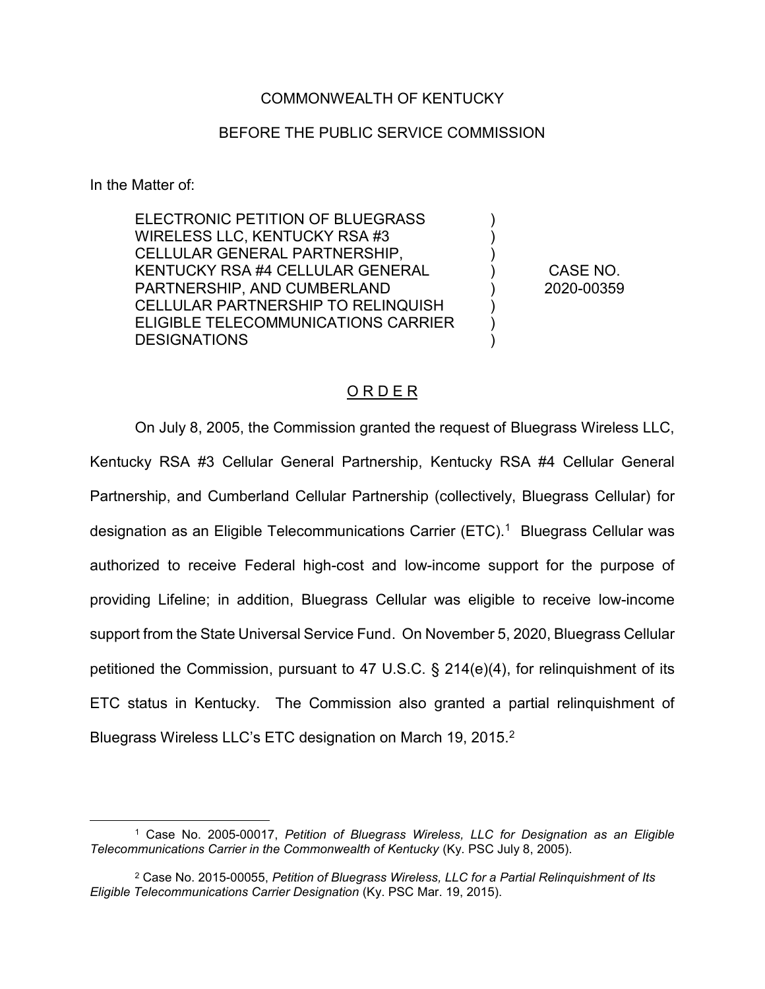## COMMONWEALTH OF KENTUCKY

## BEFORE THE PUBLIC SERVICE COMMISSION

In the Matter of:

ELECTRONIC PETITION OF BLUEGRASS WIRELESS LLC, KENTUCKY RSA #3 CELLULAR GENERAL PARTNERSHIP, KENTUCKY RSA #4 CELLULAR GENERAL PARTNERSHIP, AND CUMBERLAND CELLULAR PARTNERSHIP TO RELINQUISH ELIGIBLE TELECOMMUNICATIONS CARRIER DESIGNATIONS

CASE NO. 2020-00359

)  $\lambda$ ) ) ) ) ) )

## O R D E R

On July 8, 2005, the Commission granted the request of Bluegrass Wireless LLC, Kentucky RSA #3 Cellular General Partnership, Kentucky RSA #4 Cellular General Partnership, and Cumberland Cellular Partnership (collectively, Bluegrass Cellular) for designation as an Eligible Telecommunications Carrier (ETC).<sup>1</sup> Bluegrass Cellular was authorized to receive Federal high-cost and low-income support for the purpose of providing Lifeline; in addition, Bluegrass Cellular was eligible to receive low-income support from the State Universal Service Fund. On November 5, 2020, Bluegrass Cellular petitioned the Commission, pursuant to 47 U.S.C. § 214(e)(4), for relinquishment of its ETC status in Kentucky. The Commission also granted a partial relinquishment of Bluegrass Wireless LLC's ETC designation on March 19, 2015.<sup>2</sup>

 <sup>1</sup> Case No. 2005-00017, *Petition of Bluegrass Wireless, LLC for Designation as an Eligible Telecommunications Carrier in the Commonwealth of Kentucky* (Ky. PSC July 8, 2005).

<sup>2</sup> Case No. 2015-00055, *Petition of Bluegrass Wireless, LLC for a Partial Relinquishment of Its Eligible Telecommunications Carrier Designation* (Ky. PSC Mar. 19, 2015).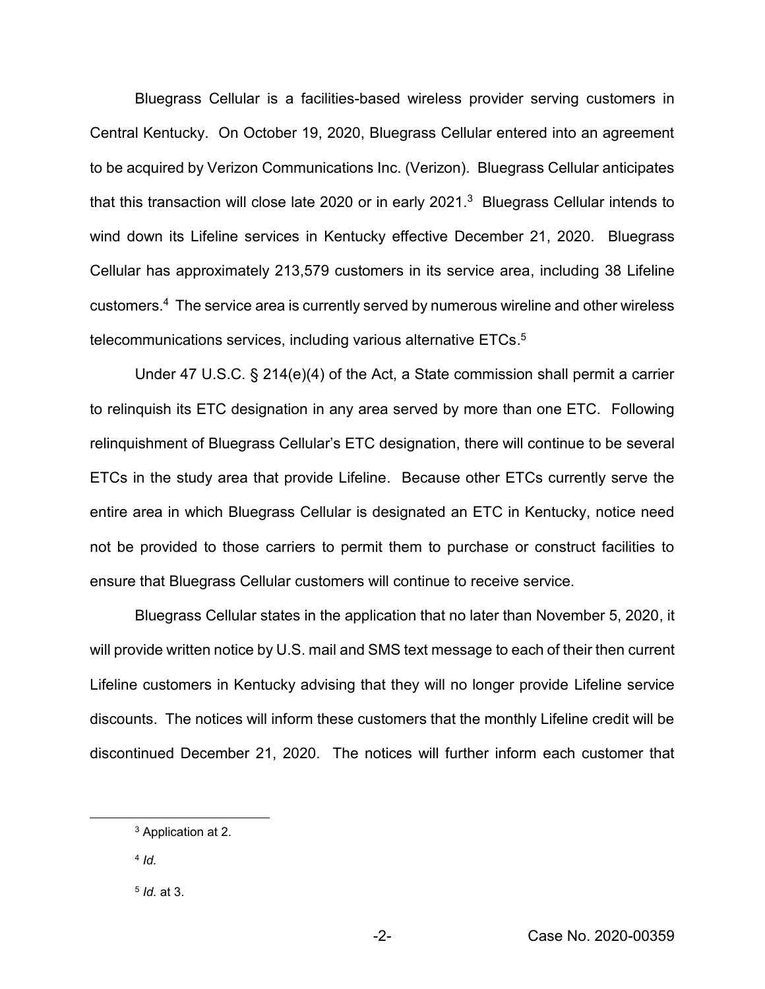Bluegrass Cellular is a facilities-based wireless provider serving customers in Central Kentucky. On October 19, 2020, Bluegrass Cellular entered into an agreement to be acquired by Verizon Communications Inc. (Verizon). Bluegrass Cellular anticipates that this transaction will close late 2020 or in early 2021. $3$  Bluegrass Cellular intends to wind down its Lifeline services in Kentucky effective December 21, 2020. Bluegrass Cellular has approximately 213,579 customers in its service area, including 38 Lifeline customers.4 The service area is currently served by numerous wireline and other wireless telecommunications services, including various alternative ETCs. 5

Under 47 U.S.C. § 214(e)(4) of the Act, a State commission shall permit a carrier to relinquish its ETC designation in any area served by more than one ETC. Following relinquishment of Bluegrass Cellular's ETC designation, there will continue to be several ETCs in the study area that provide Lifeline. Because other ETCs currently serve the entire area in which Bluegrass Cellular is designated an ETC in Kentucky, notice need not be provided to those carriers to permit them to purchase or construct facilities to ensure that Bluegrass Cellular customers will continue to receive service.

Bluegrass Cellular states in the application that no later than November 5, 2020, it will provide written notice by U.S. mail and SMS text message to each of their then current Lifeline customers in Kentucky advising that they will no longer provide Lifeline service discounts. The notices will inform these customers that the monthly Lifeline credit will be discontinued December 21, 2020. The notices will further inform each customer that

<sup>4</sup> *Id.*

 <sup>3</sup> Application at 2.

<sup>5</sup> *Id.* at 3.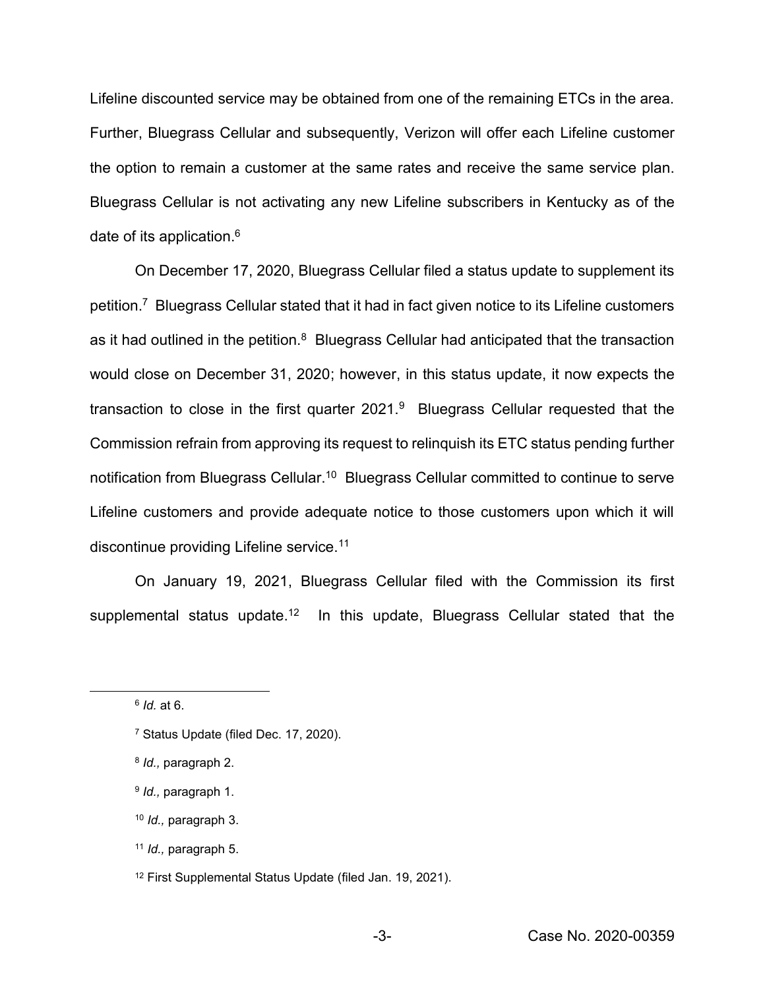Lifeline discounted service may be obtained from one of the remaining ETCs in the area. Further, Bluegrass Cellular and subsequently, Verizon will offer each Lifeline customer the option to remain a customer at the same rates and receive the same service plan. Bluegrass Cellular is not activating any new Lifeline subscribers in Kentucky as of the date of its application.<sup>6</sup>

On December 17, 2020, Bluegrass Cellular filed a status update to supplement its petition.7 Bluegrass Cellular stated that it had in fact given notice to its Lifeline customers as it had outlined in the petition.<sup>8</sup> Bluegrass Cellular had anticipated that the transaction would close on December 31, 2020; however, in this status update, it now expects the transaction to close in the first quarter 2021.9 Bluegrass Cellular requested that the Commission refrain from approving its request to relinquish its ETC status pending further notification from Bluegrass Cellular.10 Bluegrass Cellular committed to continue to serve Lifeline customers and provide adequate notice to those customers upon which it will discontinue providing Lifeline service.<sup>11</sup>

On January 19, 2021, Bluegrass Cellular filed with the Commission its first supplemental status update.<sup>12</sup> In this update, Bluegrass Cellular stated that the

<sup>10</sup> *Id.,* paragraph 3.

 <sup>6</sup> *Id.* at 6.

<sup>7</sup> Status Update (filed Dec. 17, 2020).

<sup>8</sup> *Id.,* paragraph 2.

<sup>9</sup> *Id.,* paragraph 1.

<sup>11</sup> *Id.,* paragraph 5.

<sup>12</sup> First Supplemental Status Update (filed Jan. 19, 2021).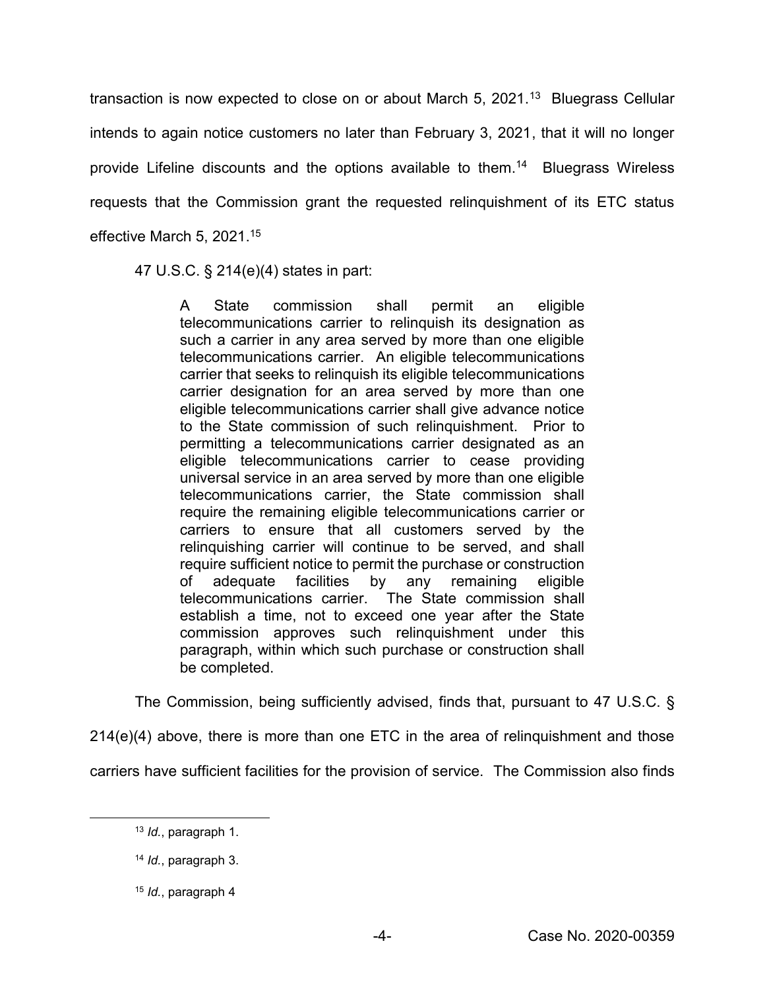transaction is now expected to close on or about March  $5$ , 2021.<sup>13</sup> Bluegrass Cellular intends to again notice customers no later than February 3, 2021, that it will no longer provide Lifeline discounts and the options available to them.14 Bluegrass Wireless requests that the Commission grant the requested relinquishment of its ETC status effective March 5, 2021.15

47 U.S.C. § 214(e)(4) states in part:

A State commission shall permit an eligible telecommunications carrier to relinquish its designation as such a carrier in any area served by more than one eligible telecommunications carrier. An eligible telecommunications carrier that seeks to relinquish its eligible telecommunications carrier designation for an area served by more than one eligible telecommunications carrier shall give advance notice to the State commission of such relinquishment. Prior to permitting a telecommunications carrier designated as an eligible telecommunications carrier to cease providing universal service in an area served by more than one eligible telecommunications carrier, the State commission shall require the remaining eligible telecommunications carrier or carriers to ensure that all customers served by the relinquishing carrier will continue to be served, and shall require sufficient notice to permit the purchase or construction of adequate facilities by any remaining eligible telecommunications carrier. The State commission shall establish a time, not to exceed one year after the State commission approves such relinquishment under this paragraph, within which such purchase or construction shall be completed.

The Commission, being sufficiently advised, finds that, pursuant to 47 U.S.C. §

214(e)(4) above, there is more than one ETC in the area of relinquishment and those

carriers have sufficient facilities for the provision of service. The Commission also finds

 <sup>13</sup> *Id.*, paragraph 1.

<sup>14</sup> *Id.*, paragraph 3.

<sup>15</sup> *Id.*, paragraph 4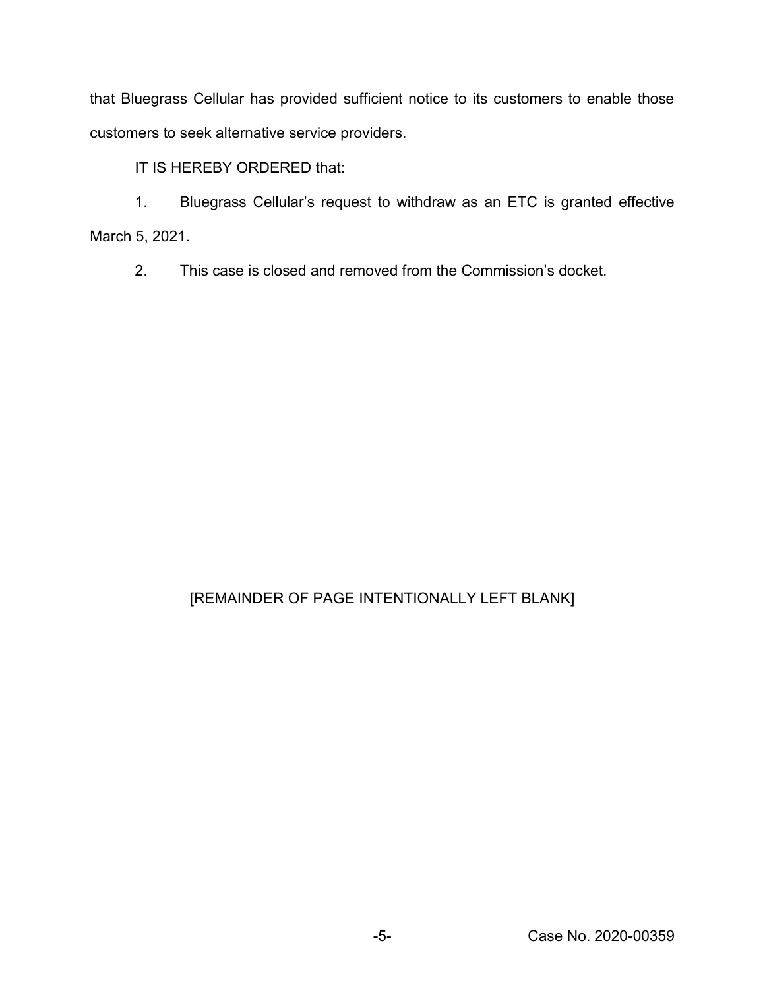that Bluegrass Cellular has provided sufficient notice to its customers to enable those customers to seek alternative service providers.

IT IS HEREBY ORDERED that:

1. Bluegrass Cellular's request to withdraw as an ETC is granted effective March 5, 2021.

2. This case is closed and removed from the Commission's docket.

## [REMAINDER OF PAGE INTENTIONALLY LEFT BLANK]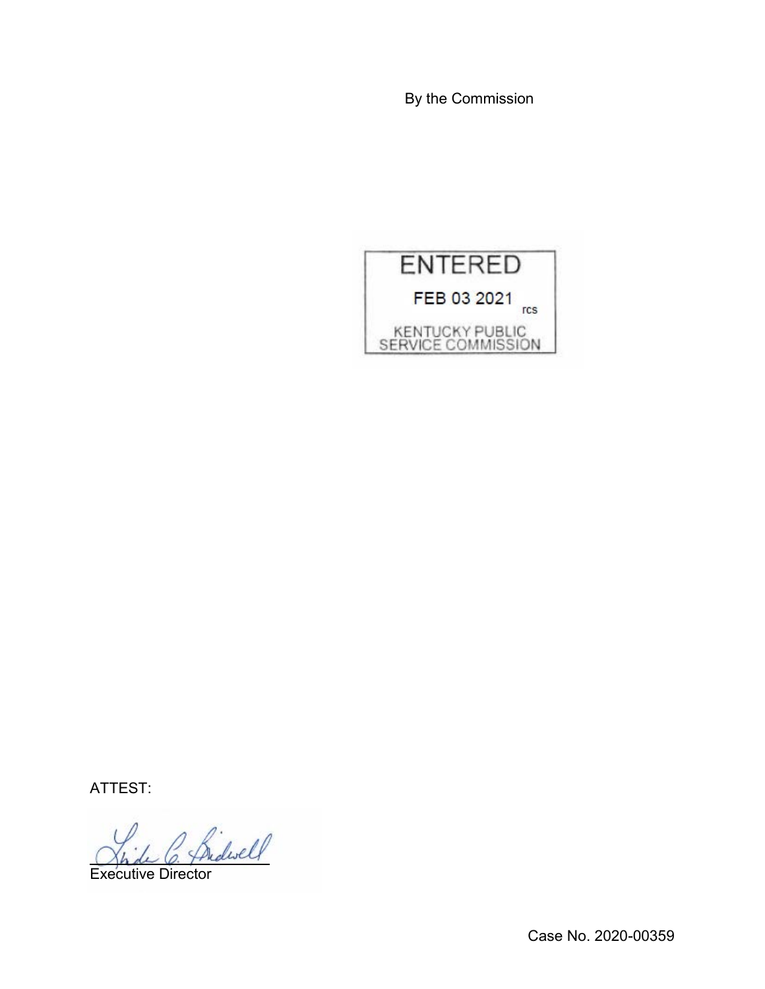By the Commission



ATTEST:

Shide C. Pridwell

Case No. 2020-00359